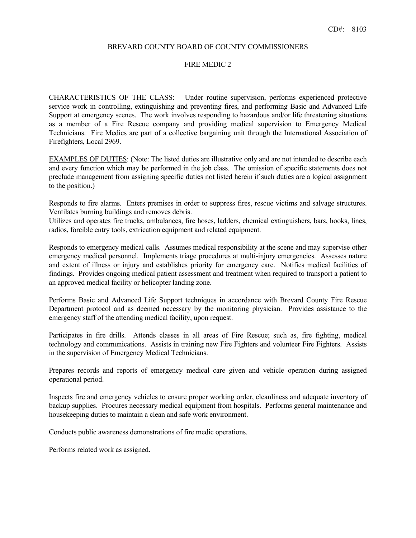### BREVARD COUNTY BOARD OF COUNTY COMMISSIONERS

### FIRE MEDIC 2

CHARACTERISTICS OF THE CLASS: Under routine supervision, performs experienced protective service work in controlling, extinguishing and preventing fires, and performing Basic and Advanced Life Support at emergency scenes. The work involves responding to hazardous and/or life threatening situations as a member of a Fire Rescue company and providing medical supervision to Emergency Medical Technicians. Fire Medics are part of a collective bargaining unit through the International Association of Firefighters, Local 2969.

EXAMPLES OF DUTIES: (Note: The listed duties are illustrative only and are not intended to describe each and every function which may be performed in the job class. The omission of specific statements does not preclude management from assigning specific duties not listed herein if such duties are a logical assignment to the position.)

Responds to fire alarms. Enters premises in order to suppress fires, rescue victims and salvage structures. Ventilates burning buildings and removes debris.

Utilizes and operates fire trucks, ambulances, fire hoses, ladders, chemical extinguishers, bars, hooks, lines, radios, forcible entry tools, extrication equipment and related equipment.

Responds to emergency medical calls. Assumes medical responsibility at the scene and may supervise other emergency medical personnel. Implements triage procedures at multi-injury emergencies. Assesses nature and extent of illness or injury and establishes priority for emergency care. Notifies medical facilities of findings. Provides ongoing medical patient assessment and treatment when required to transport a patient to an approved medical facility or helicopter landing zone.

Performs Basic and Advanced Life Support techniques in accordance with Brevard County Fire Rescue Department protocol and as deemed necessary by the monitoring physician. Provides assistance to the emergency staff of the attending medical facility, upon request.

Participates in fire drills. Attends classes in all areas of Fire Rescue; such as, fire fighting, medical technology and communications. Assists in training new Fire Fighters and volunteer Fire Fighters. Assists in the supervision of Emergency Medical Technicians.

Prepares records and reports of emergency medical care given and vehicle operation during assigned operational period.

Inspects fire and emergency vehicles to ensure proper working order, cleanliness and adequate inventory of backup supplies. Procures necessary medical equipment from hospitals. Performs general maintenance and housekeeping duties to maintain a clean and safe work environment.

Conducts public awareness demonstrations of fire medic operations.

Performs related work as assigned.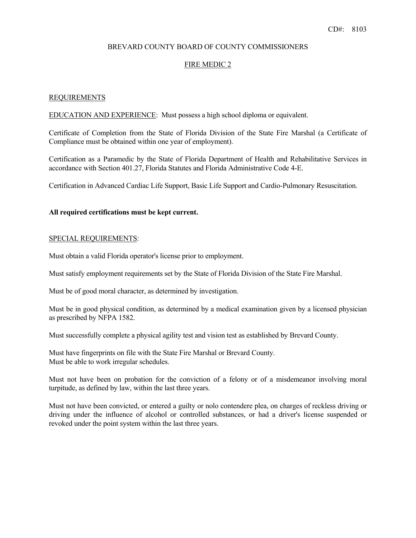# BREVARD COUNTY BOARD OF COUNTY COMMISSIONERS

# FIRE MEDIC 2

## REQUIREMENTS

EDUCATION AND EXPERIENCE: Must possess a high school diploma or equivalent.

Certificate of Completion from the State of Florida Division of the State Fire Marshal (a Certificate of Compliance must be obtained within one year of employment).

Certification as a Paramedic by the State of Florida Department of Health and Rehabilitative Services in accordance with Section 401.27, Florida Statutes and Florida Administrative Code 4-E.

Certification in Advanced Cardiac Life Support, Basic Life Support and Cardio-Pulmonary Resuscitation.

## **All required certifications must be kept current.**

### SPECIAL REQUIREMENTS:

Must obtain a valid Florida operator's license prior to employment.

Must satisfy employment requirements set by the State of Florida Division of the State Fire Marshal.

Must be of good moral character, as determined by investigation.

Must be in good physical condition, as determined by a medical examination given by a licensed physician as prescribed by NFPA 1582.

 Must successfully complete a physical agility test and vision test as established by Brevard County. Must have fingerprints on file with the State Fire Marshal or Brevard County. Must be able to work irregular schedules. Must have fingerprints on file with the State Fire Marshal or Brevard County.

Must not have been on probation for the conviction of a felony or of a misdemeanor involving moral turpitude, as defined by law, within the last three years.

Must not have been convicted, or entered a guilty or nolo contendere plea, on charges of reckless driving or driving under the influence of alcohol or controlled substances, or had a driver's license suspended or revoked under the point system within the last three years.